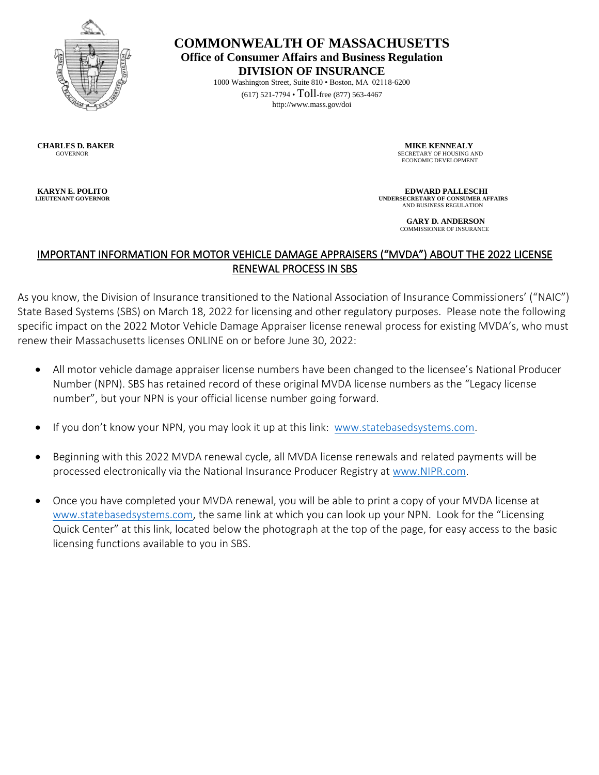

**COMMONWEALTH OF MASSACHUSETTS Office of Consumer Affairs and Business Regulation DIVISION OF INSURANCE** 

1000 Washington Street, Suite 810 • Boston, MA 02118-6200 (617) 521-7794 • Toll-free (877) 563-4467 http://www.mass.gov/doi

**CHARLES D. BAKER MIKE KENNEALY**<br> **COVERNOR COVERNOR**<br> **COVERNOR SECRETARY OF HOUSING A** 

SECRETARY OF HOUSING AND ECONOMIC DEVELOPMENT

**EDWARD PALLESCHI**<br> **EDWARD PALLESCHI**<br> **EDWARD PALLESCHI**<br>
UNDERSECRETARY OF CONSUMER AF  **UNDERSECRETARY OF CONSUMER AFFAIRS** AND BUSINESS REGULATION

> **GARY D. ANDERSON** COMMISSIONER OF INSURANCE

## IMPORTANT INFORMATION FOR MOTOR VEHICLE DAMAGE APPRAISERS ("MVDA") ABOUT THE 2022 LICENSE RENEWAL PROCESS IN SBS

As you know, the Division of Insurance transitioned to the National Association of Insurance Commissioners' ("NAIC") State Based Systems (SBS) on March 18, 2022 for licensing and other regulatory purposes. Please note the following specific impact on the 2022 Motor Vehicle Damage Appraiser license renewal process for existing MVDA's, who must renew their Massachusetts licenses ONLINE on or before June 30, 2022:

- All motor vehicle damage appraiser license numbers have been changed to the licensee's National Producer Number (NPN). SBS has retained record of these original MVDA license numbers as the "Legacy license number", but your NPN is your official license number going forward.
- If you don't know your NPN, you may look it up at this link: [www.statebasedsystems.com.](http://www.statebasedsystems.com/)
- Beginning with this 2022 MVDA renewal cycle, all MVDA license renewals and related payments will be processed electronically via the National Insurance Producer Registry at [www.NIPR.com.](http://www.nipr.com/)
- Once you have completed your MVDA renewal, you will be able to print a copy of your MVDA license at [www.statebasedsystems.com,](http://www.statebasedsystems.com/) the same link at which you can look up your NPN. Look for the "Licensing Quick Center" at this link, located below the photograph at the top of the page, for easy access to the basic licensing functions available to you in SBS.